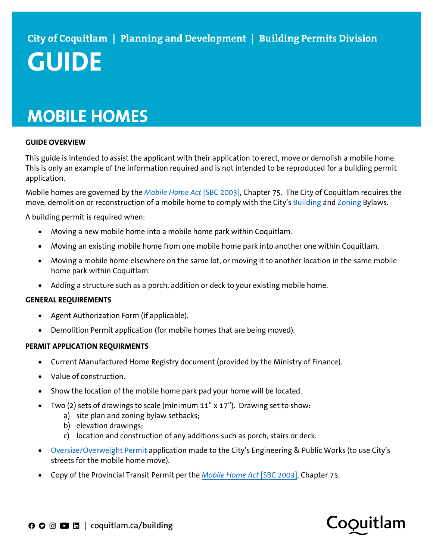# **MOBILE HOMES**

## **GUIDE OVERVIEW**

This guide is intended to assist the applicant with their application to erect, move or demolish a mobile home. This is only an example of the information required and is not intended to be reproduced for a building permit application.

Mobile homes are governed by the *[Mobile Home Act](https://www.bclaws.gov.bc.ca/civix/document/id/complete/statreg/00_03075_01)* [SBC 2003], Chapter 75. The City of Coquitlam requires the move, demolition or reconstruction of a mobile home to comply with the City'[s Building](https://www.coquitlam.ca/548/Bylaw-Search) an[d Zoning](https://www.coquitlam.ca/DocumentCenter/View/1177/Part-13-Mobile-Home-Residential-Zones-PDF) Bylaws.

A building permit is required when:

- Moving a new mobile home into a mobile home park within Coquitlam.
- Moving an existing mobile home from one mobile home park into another one within Coquitlam.
- Moving a mobile home elsewhere on the same lot, or moving it to another location in the same mobile home park within Coquitlam.
- Adding a structure such as a porch, addition or deck to your existing mobile home.

## **GENERAL REQUIREMENTS**

- Agent Authorization Form (if applicable).
- Demolition Permit application (for mobile homes that are being moved).

#### **PERMIT APPLICATION REQUIRMENTS**

- Current Manufactured Home Registry document (provided by the Ministry of Finance).
- Value of construction.
- Show the location of the mobile home park pad your home will be located.
- Two (2) sets of drawings to scale (minimum 11" x 17"). Drawing set to show:
	- a) site plan and zoning bylaw setbacks;
	- b) elevation drawings;
	- c) location and construction of any additions such as porch, stairs or deck.
- [Oversize/Overweight Permit](https://www.coquitlam.ca/DocumentCenter/View/1495/OversizeOverweight-Permit-Application-PDF) application made to the City's Engineering & Public Works (to use City's streets for the mobile home move).
- Copy of the Provincial Transit Permit per the *[Mobile Home Act](https://www.bclaws.gov.bc.ca/civix/document/id/complete/statreg/00_03075_01)* [SBC 2003], Chapter 75.